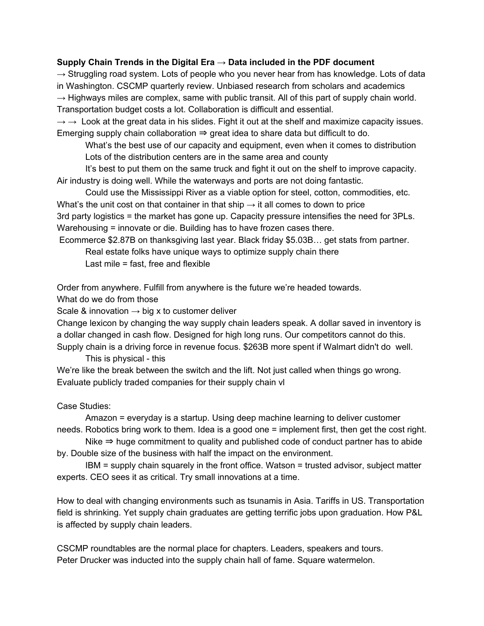#### **Supply Chain Trends in the Digital Era → Data included in the PDF document**

 $\rightarrow$  Struggling road system. Lots of people who you never hear from has knowledge. Lots of data in Washington. CSCMP quarterly review. Unbiased research from scholars and academics  $\rightarrow$  Highways miles are complex, same with public transit. All of this part of supply chain world. Transportation budget costs a lot. Collaboration is difficult and essential.

 $\rightarrow \rightarrow$  Look at the great data in his slides. Fight it out at the shelf and maximize capacity issues. Emerging supply chain collaboration  $\Rightarrow$  great idea to share data but difficult to do.

What's the best use of our capacity and equipment, even when it comes to distribution Lots of the distribution centers are in the same area and county

It's best to put them on the same truck and fight it out on the shelf to improve capacity. Air industry is doing well. While the waterways and ports are not doing fantastic.

Could use the Mississippi River as a viable option for steel, cotton, commodities, etc. What's the unit cost on that container in that ship  $\rightarrow$  it all comes to down to price

3rd party logistics = the market has gone up. Capacity pressure intensifies the need for 3PLs. Warehousing = innovate or die. Building has to have frozen cases there.

Ecommerce \$2.87B on thanksgiving last year. Black friday \$5.03B… get stats from partner.

Real estate folks have unique ways to optimize supply chain there

Last mile = fast, free and flexible

Order from anywhere. Fulfill from anywhere is the future we're headed towards.

What do we do from those

Scale & innovation  $\rightarrow$  big x to customer deliver

Change lexicon by changing the way supply chain leaders speak. A dollar saved in inventory is a dollar changed in cash flow. Designed for high long runs. Our competitors cannot do this. Supply chain is a driving force in revenue focus. \$263B more spent if Walmart didn't do well.

This is physical - this

We're like the break between the switch and the lift. Not just called when things go wrong. Evaluate publicly traded companies for their supply chain vl

Case Studies:

Amazon = everyday is a startup. Using deep machine learning to deliver customer needs. Robotics bring work to them. Idea is a good one = implement first, then get the cost right.

Nike  $\Rightarrow$  huge commitment to quality and published code of conduct partner has to abide by. Double size of the business with half the impact on the environment.

IBM = supply chain squarely in the front office. Watson = trusted advisor, subject matter experts. CEO sees it as critical. Try small innovations at a time.

How to deal with changing environments such as tsunamis in Asia. Tariffs in US. Transportation field is shrinking. Yet supply chain graduates are getting terrific jobs upon graduation. How P&L is affected by supply chain leaders.

CSCMP roundtables are the normal place for chapters. Leaders, speakers and tours. Peter Drucker was inducted into the supply chain hall of fame. Square watermelon.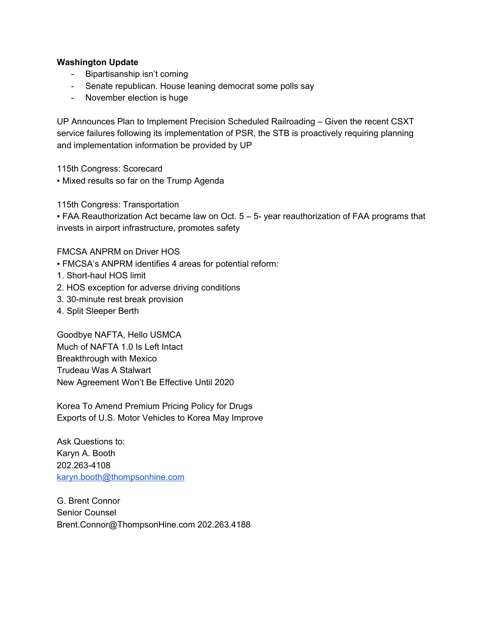# **Washington Update**

- Bipartisanship isn't coming
- Senate republican. House leaning democrat some polls say
- November election is huge

UP Announces Plan to Implement Precision Scheduled Railroading – Given the recent CSXT service failures following its implementation of PSR, the STB is proactively requiring planning and implementation information be provided by UP

115th Congress: Scorecard

• Mixed results so far on the Trump Agenda

115th Congress: Transportation

 $\blacktriangleright$  FAA Reauthorization Act became law on Oct.  $5 - 5$ - year reauthorization of FAA programs that invests in airport infrastructure, promotes safety

FMCSA ANPRM on Driver HOS

- FMCSA's ANPRM identifies 4 areas for potential reform:
- 1. Short-haul HOS limit
- 2. HOS exception for adverse driving conditions
- 3. 30-minute rest break provision
- 4. Split Sleeper Berth

Goodbye NAFTA, Hello USMCA Much of NAFTA 1.0 Is Left Intact Breakthrough with Mexico Trudeau Was A Stalwart New Agreement Won't Be Effective Until 2020

Korea To Amend Premium Pricing Policy for Drugs Exports of U.S. Motor Vehicles to Korea May Improve

Ask Questions to: Karyn A. Booth 202.263-4108 [karyn.booth@thompsonhine.com](mailto:karyn.booth@thompsonhine.com)

G. Brent Connor Senior Counsel Brent.Connor@ThompsonHine.com 202.263.4188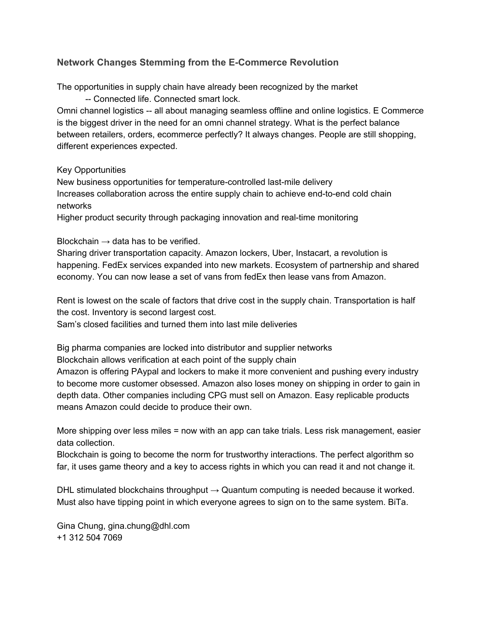# **Network Changes Stemming from the E-Commerce Revolution**

The opportunities in supply chain have already been recognized by the market

-- Connected life. Connected smart lock.

Omni channel logistics -- all about managing seamless offline and online logistics. E Commerce is the biggest driver in the need for an omni channel strategy. What is the perfect balance between retailers, orders, ecommerce perfectly? It always changes. People are still shopping, different experiences expected.

### Key Opportunities

New business opportunities for temperature-controlled last-mile delivery Increases collaboration across the entire supply chain to achieve end-to-end cold chain networks

Higher product security through packaging innovation and real-time monitoring

# Blockchain  $\rightarrow$  data has to be verified.

Sharing driver transportation capacity. Amazon lockers, Uber, Instacart, a revolution is happening. FedEx services expanded into new markets. Ecosystem of partnership and shared economy. You can now lease a set of vans from fedEx then lease vans from Amazon.

Rent is lowest on the scale of factors that drive cost in the supply chain. Transportation is half the cost. Inventory is second largest cost.

Sam's closed facilities and turned them into last mile deliveries

Big pharma companies are locked into distributor and supplier networks Blockchain allows verification at each point of the supply chain

Amazon is offering PAypal and lockers to make it more convenient and pushing every industry to become more customer obsessed. Amazon also loses money on shipping in order to gain in depth data. Other companies including CPG must sell on Amazon. Easy replicable products means Amazon could decide to produce their own.

More shipping over less miles = now with an app can take trials. Less risk management, easier data collection.

Blockchain is going to become the norm for trustworthy interactions. The perfect algorithm so far, it uses game theory and a key to access rights in which you can read it and not change it.

DHL stimulated blockchains throughput  $\rightarrow$  Quantum computing is needed because it worked. Must also have tipping point in which everyone agrees to sign on to the same system. BiTa.

Gina Chung, gina.chung@dhl.com +1 312 504 7069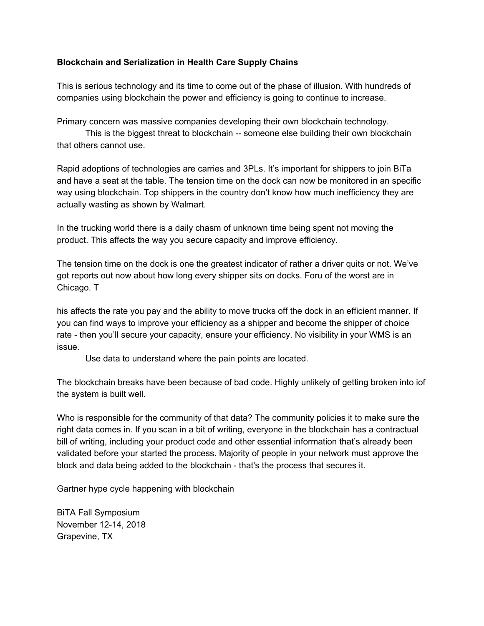# **Blockchain and Serialization in Health Care Supply Chains**

This is serious technology and its time to come out of the phase of illusion. With hundreds of companies using blockchain the power and efficiency is going to continue to increase.

Primary concern was massive companies developing their own blockchain technology.

This is the biggest threat to blockchain -- someone else building their own blockchain that others cannot use.

Rapid adoptions of technologies are carries and 3PLs. It's important for shippers to join BiTa and have a seat at the table. The tension time on the dock can now be monitored in an specific way using blockchain. Top shippers in the country don't know how much inefficiency they are actually wasting as shown by Walmart.

In the trucking world there is a daily chasm of unknown time being spent not moving the product. This affects the way you secure capacity and improve efficiency.

The tension time on the dock is one the greatest indicator of rather a driver quits or not. We've got reports out now about how long every shipper sits on docks. Foru of the worst are in Chicago. T

his affects the rate you pay and the ability to move trucks off the dock in an efficient manner. If you can find ways to improve your efficiency as a shipper and become the shipper of choice rate - then you'll secure your capacity, ensure your efficiency. No visibility in your WMS is an issue.

Use data to understand where the pain points are located.

The blockchain breaks have been because of bad code. Highly unlikely of getting broken into iof the system is built well.

Who is responsible for the community of that data? The community policies it to make sure the right data comes in. If you scan in a bit of writing, everyone in the blockchain has a contractual bill of writing, including your product code and other essential information that's already been validated before your started the process. Majority of people in your network must approve the block and data being added to the blockchain - that's the process that secures it.

Gartner hype cycle happening with blockchain

BiTA Fall Symposium November 12-14, 2018 Grapevine, TX